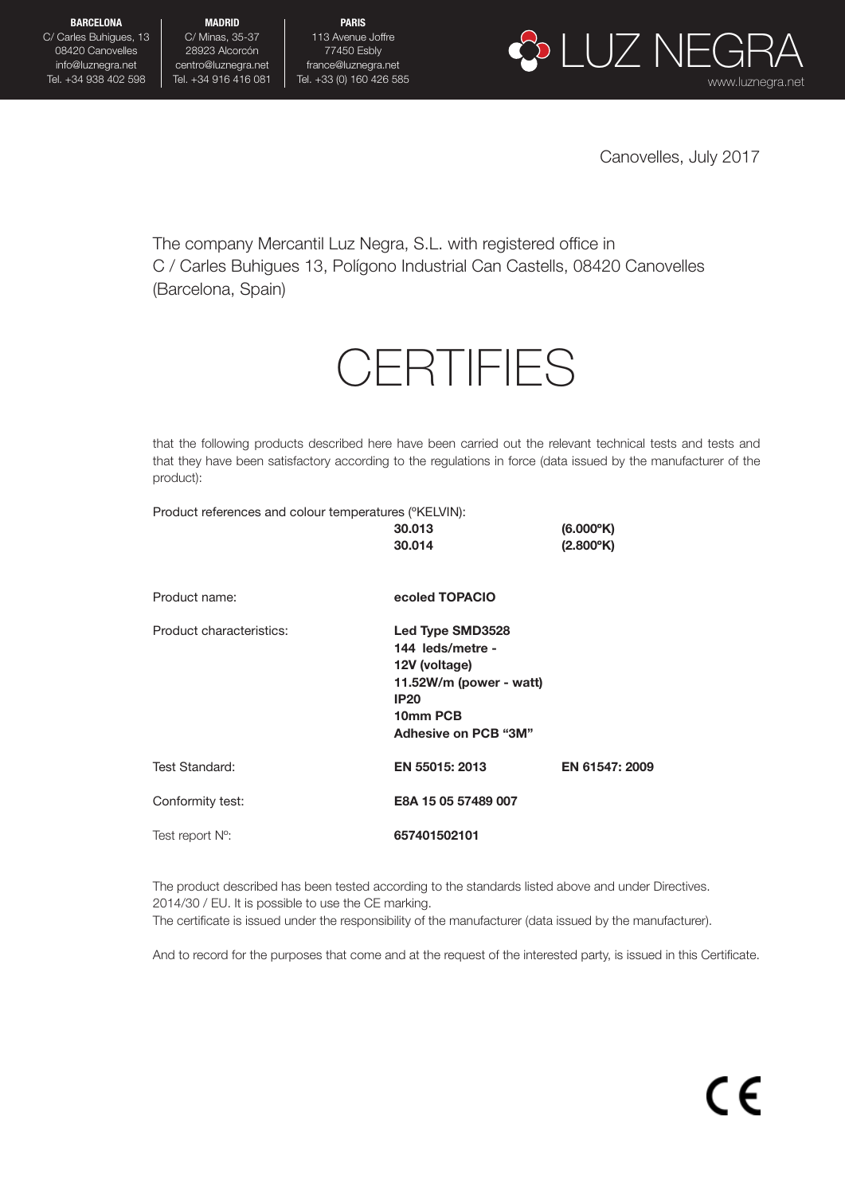C/ Carles Buhigues, 13 08420 Canovelles info@luznegra.net Tel. +34 938 402 598

MADRID C/ Minas, 35-37 28923 Alcorcón centro@luznegra.net Tel. +34 916 416 081

PARIS 113 Avenue Joffre 77450 Esbly france@luznegra.net



Canovelles, July 2017

The company Mercantil Luz Negra, S.L. with registered office in C / Carles Buhigues 13, Polígono Industrial Can Castells, 08420 Canovelles (Barcelona, Spain)

## **CERTIFIES**

that the following products described here have been carried out the relevant technical tests and tests and that they have been satisfactory according to the regulations in force (data issued by the manufacturer of the product):

Product references and colour temperatures (ºKELVIN):

|                          | 30,013<br>30,014                                                                                                                           | $(6.000^{\circ}K)$<br>$(2.800^{\circ}K)$ |
|--------------------------|--------------------------------------------------------------------------------------------------------------------------------------------|------------------------------------------|
| Product name:            | ecoled TOPACIO                                                                                                                             |                                          |
| Product characteristics: | Led Type SMD3528<br>144 leds/metre -<br>12V (voltage)<br>11.52W/m (power - watt)<br><b>IP20</b><br>10mm PCB<br><b>Adhesive on PCB "3M"</b> |                                          |
| Test Standard:           | EN 55015: 2013                                                                                                                             | EN 61547: 2009                           |
| Conformity test:         | E8A 15 05 57489 007                                                                                                                        |                                          |
| Test report N°:          | 657401502101                                                                                                                               |                                          |

The product described has been tested according to the standards listed above and under Directives. 2014/30 / EU. It is possible to use the CE marking. The certificate is issued under the responsibility of the manufacturer (data issued by the manufacturer).

And to record for the purposes that come and at the request of the interested party, is issued in this Certificate.